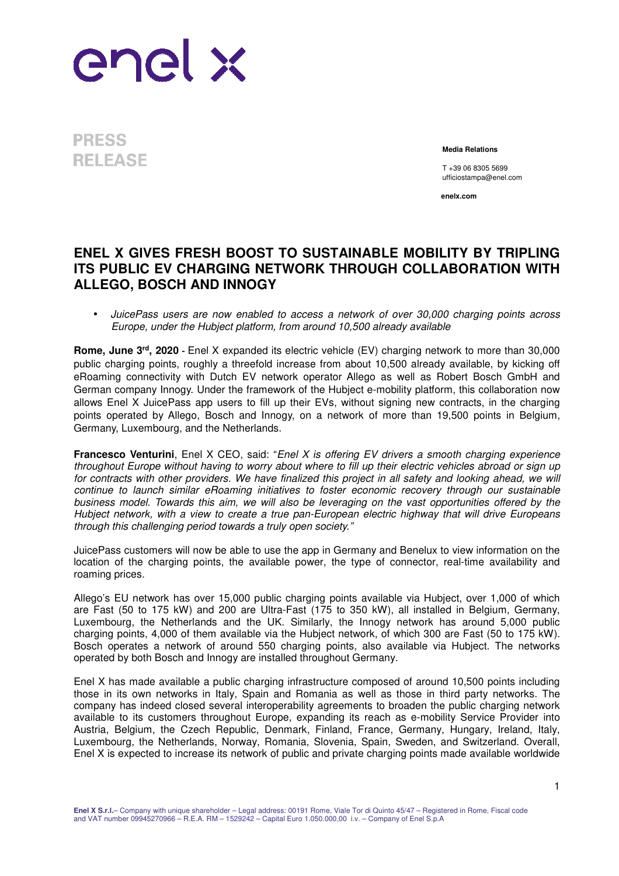

**PRESS RELEASE** 

**Media Relations**

T +39 06 8305 5699 ufficiostampa@enel.com

**enelx.com**

## **ENEL X GIVES FRESH BOOST TO SUSTAINABLE MOBILITY BY TRIPLING ITS PUBLIC EV CHARGING NETWORK THROUGH COLLABORATION WITH ALLEGO, BOSCH AND INNOGY**

• JuicePass users are now enabled to access a network of over 30,000 charging points across Europe, under the Hubject platform, from around 10,500 already available

**Rome, June 3rd, 2020 -** Enel X expanded its electric vehicle (EV) charging network to more than 30,000 public charging points, roughly a threefold increase from about 10,500 already available, by kicking off eRoaming connectivity with Dutch EV network operator Allego as well as Robert Bosch GmbH and German company Innogy. Under the framework of the Hubject e-mobility platform, this collaboration now allows Enel X JuicePass app users to fill up their EVs, without signing new contracts, in the charging points operated by Allego, Bosch and Innogy, on a network of more than 19,500 points in Belgium, Germany, Luxembourg, and the Netherlands.

**Francesco Venturini**, Enel X CEO, said: "Enel X is offering EV drivers a smooth charging experience throughout Europe without having to worry about where to fill up their electric vehicles abroad or sign up for contracts with other providers. We have finalized this project in all safety and looking ahead, we will continue to launch similar eRoaming initiatives to foster economic recovery through our sustainable business model. Towards this aim, we will also be leveraging on the vast opportunities offered by the Hubject network, with a view to create a true pan-European electric highway that will drive Europeans through this challenging period towards a truly open society."

JuicePass customers will now be able to use the app in Germany and Benelux to view information on the location of the charging points, the available power, the type of connector, real-time availability and roaming prices.

Allego's EU network has over 15,000 public charging points available via Hubject, over 1,000 of which are Fast (50 to 175 kW) and 200 are Ultra-Fast (175 to 350 kW), all installed in Belgium, Germany, Luxembourg, the Netherlands and the UK. Similarly, the Innogy network has around 5,000 public charging points, 4,000 of them available via the Hubject network, of which 300 are Fast (50 to 175 kW). Bosch operates a network of around 550 charging points, also available via Hubject. The networks operated by both Bosch and Innogy are installed throughout Germany.

Enel X has made available a public charging infrastructure composed of around 10,500 points including those in its own networks in Italy, Spain and Romania as well as those in third party networks. The company has indeed closed several interoperability agreements to broaden the public charging network available to its customers throughout Europe, expanding its reach as e-mobility Service Provider into Austria, Belgium, the Czech Republic, Denmark, Finland, France, Germany, Hungary, Ireland, Italy, Luxembourg, the Netherlands, Norway, Romania, Slovenia, Spain, Sweden, and Switzerland. Overall, Enel X is expected to increase its network of public and private charging points made available worldwide